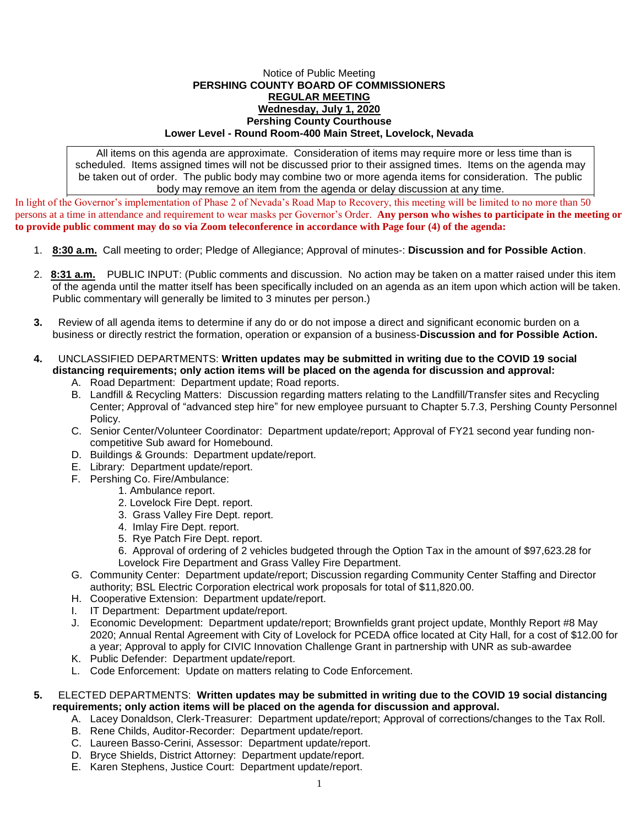## Notice of Public Meeting **PERSHING COUNTY BOARD OF COMMISSIONERS REGULAR MEETING Wednesday, July 1, 2020 Pershing County Courthouse Lower Level - Round Room-400 Main Street, Lovelock, Nevada**

All items on this agenda are approximate. Consideration of items may require more or less time than is scheduled. Items assigned times will not be discussed prior to their assigned times. Items on the agenda may be taken out of order. The public body may combine two or more agenda items for consideration. The public body may remove an item from the agenda or delay discussion at any time.

In light of the Governor's implementation of Phase 2 of Nevada's Road Map to Recovery, this meeting will be limited to no more than 50 persons at a time in attendance and requirement to wear masks per Governor's Order. **Any person who wishes to participate in the meeting or to provide public comment may do so via Zoom teleconference in accordance with Page four (4) of the agenda:** 

- 1. **8:30 a.m.** Call meeting to order; Pledge of Allegiance; Approval of minutes-: **Discussion and for Possible Action**.
- 2. **8:31 a.m.** PUBLIC INPUT: (Public comments and discussion. No action may be taken on a matter raised under this item of the agenda until the matter itself has been specifically included on an agenda as an item upon which action will be taken. Public commentary will generally be limited to 3 minutes per person.)
- **3.** Review of all agenda items to determine if any do or do not impose a direct and significant economic burden on a business or directly restrict the formation, operation or expansion of a business-**Discussion and for Possible Action.**
- **4.** UNCLASSIFIED DEPARTMENTS: **Written updates may be submitted in writing due to the COVID 19 social distancing requirements; only action items will be placed on the agenda for discussion and approval:**
	- A. Road Department: Department update; Road reports.
	- B. Landfill & Recycling Matters: Discussion regarding matters relating to the Landfill/Transfer sites and Recycling Center; Approval of "advanced step hire" for new employee pursuant to Chapter 5.7.3, Pershing County Personnel Policy.
	- C. Senior Center/Volunteer Coordinator: Department update/report; Approval of FY21 second year funding noncompetitive Sub award for Homebound.
	- D. Buildings & Grounds: Department update/report.
	- E. Library: Department update/report.
	- F. Pershing Co. Fire/Ambulance:
		- 1. Ambulance report.
			- 2. Lovelock Fire Dept. report.
			- 3. Grass Valley Fire Dept. report.
			- 4. Imlay Fire Dept. report.
			- 5. Rye Patch Fire Dept. report.
			- 6. Approval of ordering of 2 vehicles budgeted through the Option Tax in the amount of \$97,623.28 for Lovelock Fire Department and Grass Valley Fire Department.
	- G. Community Center: Department update/report; Discussion regarding Community Center Staffing and Director authority; BSL Electric Corporation electrical work proposals for total of \$11,820.00.
	- H. Cooperative Extension: Department update/report.
	- I. IT Department: Department update/report.
	- J. Economic Development: Department update/report; Brownfields grant project update, Monthly Report #8 May 2020; Annual Rental Agreement with City of Lovelock for PCEDA office located at City Hall, for a cost of \$12.00 for a year; Approval to apply for CIVIC Innovation Challenge Grant in partnership with UNR as sub-awardee
	- K. Public Defender: Department update/report.
	- L. Code Enforcement: Update on matters relating to Code Enforcement.
- **5.** ELECTED DEPARTMENTS: **Written updates may be submitted in writing due to the COVID 19 social distancing requirements; only action items will be placed on the agenda for discussion and approval.**
	- A. Lacey Donaldson, Clerk-Treasurer: Department update/report; Approval of corrections/changes to the Tax Roll.
		- B. Rene Childs, Auditor-Recorder: Department update/report.
		- C. Laureen Basso-Cerini, Assessor: Department update/report.
		- D. Bryce Shields, District Attorney: Department update/report.
		- E. Karen Stephens, Justice Court: Department update/report.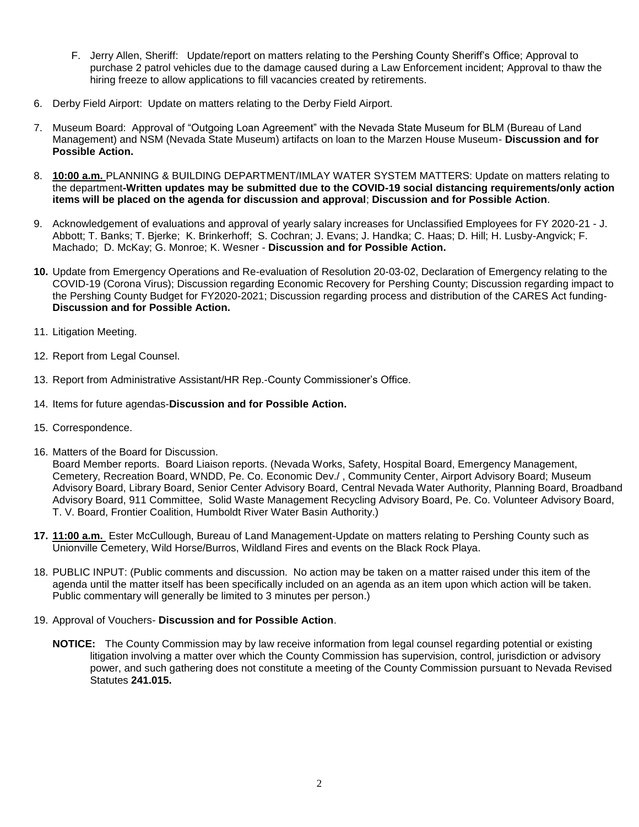- F. Jerry Allen, Sheriff: Update/report on matters relating to the Pershing County Sheriff's Office; Approval to purchase 2 patrol vehicles due to the damage caused during a Law Enforcement incident; Approval to thaw the hiring freeze to allow applications to fill vacancies created by retirements.
- 6. Derby Field Airport: Update on matters relating to the Derby Field Airport.
- 7. Museum Board: Approval of "Outgoing Loan Agreement" with the Nevada State Museum for BLM (Bureau of Land Management) and NSM (Nevada State Museum) artifacts on loan to the Marzen House Museum- **Discussion and for Possible Action.**
- 8. **10:00 a.m.** PLANNING & BUILDING DEPARTMENT/IMLAY WATER SYSTEM MATTERS: Update on matters relating to the department**-Written updates may be submitted due to the COVID-19 social distancing requirements/only action items will be placed on the agenda for discussion and approval**; **Discussion and for Possible Action**.
- 9. Acknowledgement of evaluations and approval of yearly salary increases for Unclassified Employees for FY 2020-21 J. Abbott; T. Banks; T. Bjerke; K. Brinkerhoff; S. Cochran; J. Evans; J. Handka; C. Haas; D. Hill; H. Lusby-Angvick; F. Machado; D. McKay; G. Monroe; K. Wesner - **Discussion and for Possible Action.**
- **10.** Update from Emergency Operations and Re-evaluation of Resolution 20-03-02, Declaration of Emergency relating to the COVID-19 (Corona Virus); Discussion regarding Economic Recovery for Pershing County; Discussion regarding impact to the Pershing County Budget for FY2020-2021; Discussion regarding process and distribution of the CARES Act funding-**Discussion and for Possible Action.**
- 11. Litigation Meeting.
- 12. Report from Legal Counsel.
- 13. Report from Administrative Assistant/HR Rep.-County Commissioner's Office.
- 14. Items for future agendas-**Discussion and for Possible Action.**
- 15. Correspondence.
- 16. Matters of the Board for Discussion.

Board Member reports. Board Liaison reports. (Nevada Works, Safety, Hospital Board, Emergency Management, Cemetery, Recreation Board, WNDD, Pe. Co. Economic Dev./ , Community Center, Airport Advisory Board; Museum Advisory Board, Library Board, Senior Center Advisory Board, Central Nevada Water Authority, Planning Board, Broadband Advisory Board, 911 Committee, Solid Waste Management Recycling Advisory Board, Pe. Co. Volunteer Advisory Board, T. V. Board, Frontier Coalition, Humboldt River Water Basin Authority.)

- **17. 11:00 a.m.** Ester McCullough, Bureau of Land Management-Update on matters relating to Pershing County such as Unionville Cemetery, Wild Horse/Burros, Wildland Fires and events on the Black Rock Playa.
- 18. PUBLIC INPUT: (Public comments and discussion. No action may be taken on a matter raised under this item of the agenda until the matter itself has been specifically included on an agenda as an item upon which action will be taken. Public commentary will generally be limited to 3 minutes per person.)
- 19. Approval of Vouchers- **Discussion and for Possible Action**.
	- **NOTICE:** The County Commission may by law receive information from legal counsel regarding potential or existing litigation involving a matter over which the County Commission has supervision, control, jurisdiction or advisory power, and such gathering does not constitute a meeting of the County Commission pursuant to Nevada Revised Statutes **241.015.**